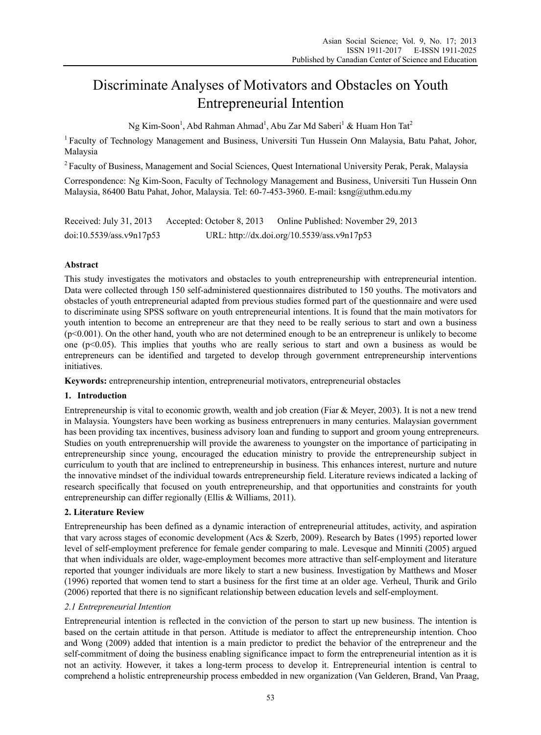# Discriminate Analyses of Motivators and Obstacles on Youth Entrepreneurial Intention

Ng Kim-Soon $^1$ , Abd Rahman Ahmad $^1$ , Abu Zar Md Saberi $^1$  & Huam Hon Tat<sup>2</sup>

<sup>1</sup> Faculty of Technology Management and Business, Universiti Tun Hussein Onn Malaysia, Batu Pahat, Johor, Malaysia

<sup>2</sup> Faculty of Business, Management and Social Sciences, Quest International University Perak, Perak, Malaysia

Correspondence: Ng Kim-Soon, Faculty of Technology Management and Business, Universiti Tun Hussein Onn Malaysia, 86400 Batu Pahat, Johor, Malaysia. Tel: 60-7-453-3960. E-mail: ksng@uthm.edu.my

| Received: July $31, 2013$ | Accepted: October 8, 2013 | Online Published: November 29, 2013         |
|---------------------------|---------------------------|---------------------------------------------|
| doi:10.5539/ass.v9n17p53  |                           | URL: http://dx.doi.org/10.5539/ass.v9n17p53 |

# **Abstract**

This study investigates the motivators and obstacles to youth entrepreneurship with entrepreneurial intention. Data were collected through 150 self-administered questionnaires distributed to 150 youths. The motivators and obstacles of youth entrepreneurial adapted from previous studies formed part of the questionnaire and were used to discriminate using SPSS software on youth entrepreneurial intentions. It is found that the main motivators for youth intention to become an entrepreneur are that they need to be really serious to start and own a business (p<0.001). On the other hand, youth who are not determined enough to be an entrepreneur is unlikely to become one (p<0.05). This implies that youths who are really serious to start and own a business as would be entrepreneurs can be identified and targeted to develop through government entrepreneurship interventions initiatives.

**Keywords:** entrepreneurship intention, entrepreneurial motivators, entrepreneurial obstacles

# **1. Introduction**

Entrepreneurship is vital to economic growth, wealth and job creation (Fiar & Meyer, 2003). It is not a new trend in Malaysia. Youngsters have been working as business entreprenuers in many centuries. Malaysian government has been providing tax incentives, business advisory loan and funding to support and groom young entrepreneurs. Studies on youth entreprenuership will provide the awareness to youngster on the importance of participating in entrepreneurship since young, encouraged the education ministry to provide the entrepreneurship subject in curriculum to youth that are inclined to entrepreneurship in business. This enhances interest, nurture and nuture the innovative mindset of the individual towards entrepreneurship field. Literature reviews indicated a lacking of research specifically that focused on youth entrepreneurship, and that opportunities and constraints for youth entrepreneurship can differ regionally (Ellis & Williams, 2011).

# **2. Literature Review**

Entrepreneurship has been defined as a dynamic interaction of entrepreneurial attitudes, activity, and aspiration that vary across stages of economic development (Acs & Szerb, 2009). Research by Bates (1995) reported lower level of self-employment preference for female gender comparing to male. Levesque and Minniti (2005) argued that when individuals are older, wage-employment becomes more attractive than self-employment and literature reported that younger individuals are more likely to start a new business. Investigation by Matthews and Moser (1996) reported that women tend to start a business for the first time at an older age. Verheul, Thurik and Grilo (2006) reported that there is no significant relationship between education levels and self-employment.

## *2.1 Entrepreneurial Intention*

Entrepreneurial intention is reflected in the conviction of the person to start up new business. The intention is based on the certain attitude in that person. Attitude is mediator to affect the entrepreneurship intention. Choo and Wong (2009) added that intention is a main predictor to predict the behavior of the entrepreneur and the self-commitment of doing the business enabling significance impact to form the entrepreneurial intention as it is not an activity. However, it takes a long-term process to develop it. Entrepreneurial intention is central to comprehend a holistic entrepreneurship process embedded in new organization (Van Gelderen, Brand, Van Praag,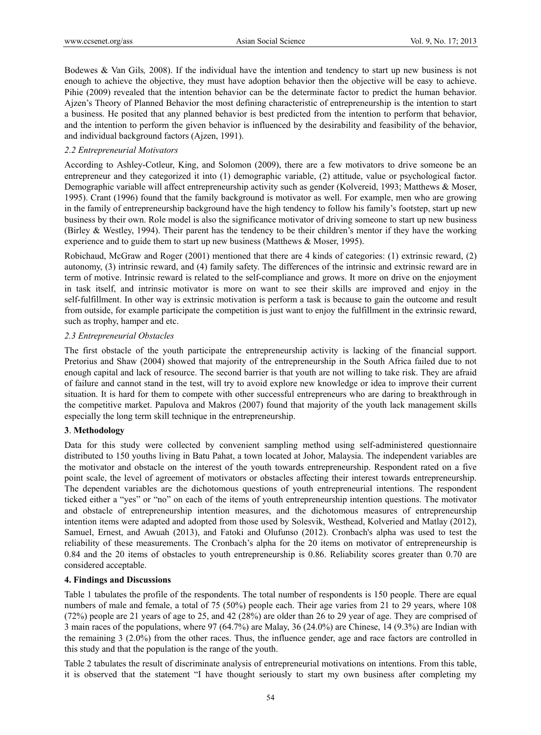Bodewes & Van Gils*,* 2008). If the individual have the intention and tendency to start up new business is not enough to achieve the objective, they must have adoption behavior then the objective will be easy to achieve. Pihie (2009) revealed that the intention behavior can be the determinate factor to predict the human behavior. Ajzen's Theory of Planned Behavior the most defining characteristic of entrepreneurship is the intention to start a business. He posited that any planned behavior is best predicted from the intention to perform that behavior, and the intention to perform the given behavior is influenced by the desirability and feasibility of the behavior, and individual background factors (Ajzen, 1991).

## *2.2 Entrepreneurial Motivators*

According to Ashley-Cotleur, King, and Solomon (2009), there are a few motivators to drive someone be an entrepreneur and they categorized it into (1) demographic variable, (2) attitude, value or psychological factor. Demographic variable will affect entrepreneurship activity such as gender (Kolvereid, 1993; Matthews & Moser, 1995). Crant (1996) found that the family background is motivator as well. For example, men who are growing in the family of entrepreneurship background have the high tendency to follow his family's footstep, start up new business by their own. Role model is also the significance motivator of driving someone to start up new business (Birley & Westley, 1994). Their parent has the tendency to be their children's mentor if they have the working experience and to guide them to start up new business (Matthews & Moser, 1995).

Robichaud, McGraw and Roger (2001) mentioned that there are 4 kinds of categories: (1) extrinsic reward, (2) autonomy, (3) intrinsic reward, and (4) family safety. The differences of the intrinsic and extrinsic reward are in term of motive. Intrinsic reward is related to the self-compliance and grows. It more on drive on the enjoyment in task itself, and intrinsic motivator is more on want to see their skills are improved and enjoy in the self-fulfillment. In other way is extrinsic motivation is perform a task is because to gain the outcome and result from outside, for example participate the competition is just want to enjoy the fulfillment in the extrinsic reward, such as trophy, hamper and etc.

#### *2.3 Entrepreneurial Obstacles*

The first obstacle of the youth participate the entrepreneurship activity is lacking of the financial support. Pretorius and Shaw (2004) showed that majority of the entrepreneurship in the South Africa failed due to not enough capital and lack of resource. The second barrier is that youth are not willing to take risk. They are afraid of failure and cannot stand in the test, will try to avoid explore new knowledge or idea to improve their current situation. It is hard for them to compete with other successful entrepreneurs who are daring to breakthrough in the competitive market. Papulova and Makros (2007) found that majority of the youth lack management skills especially the long term skill technique in the entrepreneurship.

## **3**. **Methodology**

Data for this study were collected by convenient sampling method using self-administered questionnaire distributed to 150 youths living in Batu Pahat, a town located at Johor, Malaysia. The independent variables are the motivator and obstacle on the interest of the youth towards entrepreneurship. Respondent rated on a five point scale, the level of agreement of motivators or obstacles affecting their interest towards entrepreneurship. The dependent variables are the dichotomous questions of youth entrepreneurial intentions. The respondent ticked either a "yes" or "no" on each of the items of youth entrepreneurship intention questions. The motivator and obstacle of entrepreneurship intention measures, and the dichotomous measures of entrepreneurship intention items were adapted and adopted from those used by Solesvik, Westhead, Kolveried and Matlay (2012), Samuel, Ernest, and Awuah (2013), and Fatoki and Olufunso (2012). Cronbach's alpha was used to test the reliability of these measurements. The Cronbach's alpha for the 20 items on motivator of entrepreneurship is 0.84 and the 20 items of obstacles to youth entrepreneurship is 0.86. Reliability scores greater than 0.70 are considered acceptable.

## **4. Findings and Discussions**

Table 1 tabulates the profile of the respondents. The total number of respondents is 150 people. There are equal numbers of male and female, a total of 75 (50%) people each. Their age varies from 21 to 29 years, where 108 (72%) people are 21 years of age to 25, and 42 (28%) are older than 26 to 29 year of age. They are comprised of 3 main races of the populations, where 97 (64.7%) are Malay, 36 (24.0%) are Chinese, 14 (9.3%) are Indian with the remaining 3 (2.0%) from the other races. Thus, the influence gender, age and race factors are controlled in this study and that the population is the range of the youth.

Table 2 tabulates the result of discriminate analysis of entrepreneurial motivations on intentions. From this table, it is observed that the statement "I have thought seriously to start my own business after completing my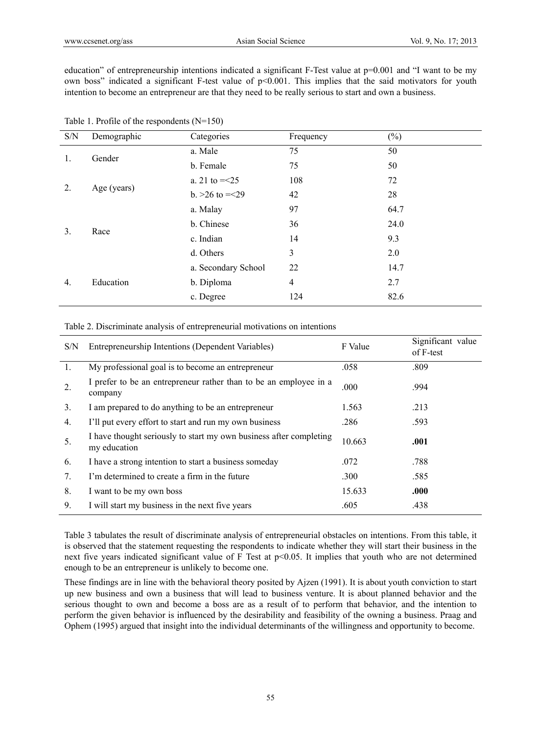education" of entrepreneurship intentions indicated a significant F-Test value at p=0.001 and "I want to be my own boss" indicated a significant F-test value of p<0.001. This implies that the said motivators for youth intention to become an entrepreneur are that they need to be really serious to start and own a business.

| Demographic | Categories          | Frequency      | $(\%)$ |
|-------------|---------------------|----------------|--------|
| Gender      | a. Male             | 75             | 50     |
|             | b. Female           | 75             | 50     |
| Age (years) | a. 21 to $=<25$     | 108            | 72     |
|             | b. $>26$ to $=<29$  | 42             | 28     |
| Race        | a. Malay            | 97             | 64.7   |
|             | b. Chinese          | 36             | 24.0   |
|             | c. Indian           | 14             | 9.3    |
|             | d. Others           | 3              | 2.0    |
| Education   | a. Secondary School | 22             | 14.7   |
|             | b. Diploma          | $\overline{4}$ | 2.7    |
|             | c. Degree           | 124            | 82.6   |
|             |                     |                |        |

#### Table 2. Discriminate analysis of entrepreneurial motivations on intentions

| S/N | Entrepreneurship Intentions (Dependent Variables)                                  | F Value | Significant value<br>of F-test |
|-----|------------------------------------------------------------------------------------|---------|--------------------------------|
| 1.  | My professional goal is to become an entrepreneur                                  | .058    | .809                           |
| 2.  | I prefer to be an entrepreneur rather than to be an employee in a<br>company       | .000    | .994                           |
| 3.  | I am prepared to do anything to be an entrepreneur                                 | 1.563   | .213                           |
| 4.  | I'll put every effort to start and run my own business                             | .286    | .593                           |
| 5.  | I have thought seriously to start my own business after completing<br>my education | 10.663  | .001                           |
| 6.  | I have a strong intention to start a business someday                              | .072    | .788                           |
| 7.  | I'm determined to create a firm in the future                                      | .300    | .585                           |
| 8.  | I want to be my own boss                                                           | 15.633  | .000.                          |
| 9.  | I will start my business in the next five years                                    | .605    | .438                           |

Table 3 tabulates the result of discriminate analysis of entrepreneurial obstacles on intentions. From this table, it is observed that the statement requesting the respondents to indicate whether they will start their business in the next five years indicated significant value of F Test at p<0.05. It implies that youth who are not determined enough to be an entrepreneur is unlikely to become one.

These findings are in line with the behavioral theory posited by Ajzen (1991). It is about youth conviction to start up new business and own a business that will lead to business venture. It is about planned behavior and the serious thought to own and become a boss are as a result of to perform that behavior, and the intention to perform the given behavior is influenced by the desirability and feasibility of the owning a business. Praag and Ophem (1995) argued that insight into the individual determinants of the willingness and opportunity to become.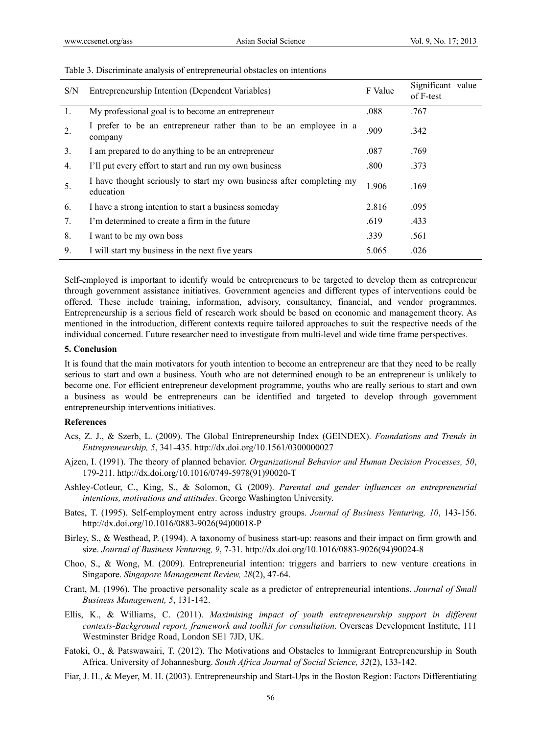| S/N | Entrepreneurship Intention (Dependent Variables)                                   |       | Significant value<br>of F-test |
|-----|------------------------------------------------------------------------------------|-------|--------------------------------|
| 1.  | My professional goal is to become an entrepreneur                                  | .088  | .767                           |
| 2.  | I prefer to be an entrepreneur rather than to be an employee in a<br>company       | .909  | .342                           |
| 3.  | I am prepared to do anything to be an entrepreneur                                 | .087  | .769                           |
| 4.  | I'll put every effort to start and run my own business                             | .800  | .373                           |
| 5.  | I have thought seriously to start my own business after completing my<br>education | 1.906 | .169                           |
| 6.  | I have a strong intention to start a business someday                              | 2.816 | .095                           |
| 7.  | I'm determined to create a firm in the future                                      | .619  | .433                           |
| 8.  | I want to be my own boss                                                           | .339  | .561                           |
| 9.  | I will start my business in the next five years                                    | 5.065 | .026                           |

#### Table 3. Discriminate analysis of entrepreneurial obstacles on intentions

Self-employed is important to identify would be entrepreneurs to be targeted to develop them as entrepreneur through government assistance initiatives. Government agencies and different types of interventions could be offered. These include training, information, advisory, consultancy, financial, and vendor programmes. Entrepreneurship is a serious field of research work should be based on economic and management theory. As mentioned in the introduction, different contexts require tailored approaches to suit the respective needs of the individual concerned. Future researcher need to investigate from multi-level and wide time frame perspectives.

#### **5. Conclusion**

It is found that the main motivators for youth intention to become an entrepreneur are that they need to be really serious to start and own a business. Youth who are not determined enough to be an entrepreneur is unlikely to become one. For efficient entrepreneur development programme, youths who are really serious to start and own a business as would be entrepreneurs can be identified and targeted to develop through government entrepreneurship interventions initiatives.

#### **References**

- Acs, Z. J., & Szerb, L. (2009). The Global Entrepreneurship Index (GEINDEX). *Foundations and Trends in Entrepreneurship, 5*, 341-435. http://dx.doi.org/10.1561/0300000027
- Ajzen, I. (1991). The theory of planned behavior. *Organizational Behavior and Human Decision Processes, 50*, 179-211. http://dx.doi.org/10.1016/0749-5978(91)90020-T
- Ashley-Cotleur, C., King, S., & Solomon, G. (2009). *Parental and gender influences on entrepreneurial intentions, motivations and attitudes*. George Washington University.
- Bates, T. (1995). Self-employment entry across industry groups. *Journal of Business Venturing, 10*, 143-156. http://dx.doi.org/10.1016/0883-9026(94)00018-P
- Birley, S., & Westhead, P. (1994). A taxonomy of business start-up: reasons and their impact on firm growth and size. *Journal of Business Venturing, 9*, 7-31. http://dx.doi.org/10.1016/0883-9026(94)90024-8
- Choo, S., & Wong, M. (2009). Entrepreneurial intention: triggers and barriers to new venture creations in Singapore. *Singapore Management Review, 28*(2), 47-64.
- Crant, M. (1996). The proactive personality scale as a predictor of entrepreneurial intentions. *Journal of Small Business Management, 5*, 131-142.
- Ellis, K., & Williams, C. (2011). *Maximising impact of youth entrepreneurship support in different contexts-Background report, framework and toolkit for consultation*. Overseas Development Institute, 111 Westminster Bridge Road, London SE1 7JD, UK.
- Fatoki, O., & Patswawairi, T. (2012). The Motivations and Obstacles to Immigrant Entrepreneurship in South Africa. University of Johannesburg. *South Africa Journal of Social Science, 32*(2), 133-142.
- Fiar, J. H., & Meyer, M. H. (2003). Entrepreneurship and Start-Ups in the Boston Region: Factors Differentiating